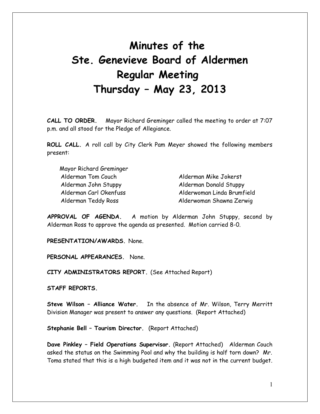# **Minutes of the Ste. Genevieve Board of Aldermen Regular Meeting Thursday – May 23, 2013**

**CALL TO ORDER.** Mayor Richard Greminger called the meeting to order at 7:07 p.m. and all stood for the Pledge of Allegiance.

**ROLL CALL.** A roll call by City Clerk Pam Meyer showed the following members present:

Mayor Richard Greminger Alderman Tom Couch Alderman Mike Jokerst Alderman John Stuppy Alderman Donald Stuppy

 Alderman Carl Okenfuss Alderwoman Linda Brumfield Alderman Teddy Ross Alderwoman Shawna Zerwig

**APPROVAL OF AGENDA.** A motion by Alderman John Stuppy, second by Alderman Ross to approve the agenda as presented. Motion carried 8-0.

**PRESENTATION/AWARDS.** None.

**PERSONAL APPEARANCES.** None.

**CITY ADMINISTRATORS REPORT.** (See Attached Report)

**STAFF REPORTS.** 

**Steve Wilson – Alliance Water.** In the absence of Mr. Wilson, Terry Merritt Division Manager was present to answer any questions. (Report Attached)

**Stephanie Bell – Tourism Director.** (Report Attached)

**Dave Pinkley – Field Operations Supervisor.** (Report Attached) Alderman Couch asked the status on the Swimming Pool and why the building is half torn down? Mr. Toma stated that this is a high budgeted item and it was not in the current budget.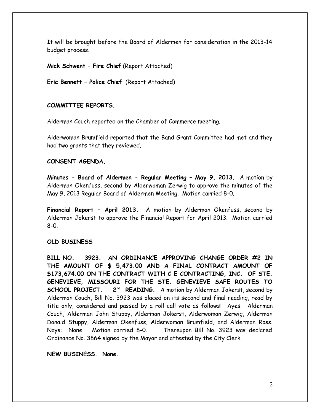It will be brought before the Board of Aldermen for consideration in the 2013-14 budget process.

**Mick Schwent – Fire Chief** (Report Attached)

**Eric Bennett – Police Chief** (Report Attached)

#### **COMMITTEE REPORTS.**

Alderman Couch reported on the Chamber of Commerce meeting.

Alderwoman Brumfield reported that the Band Grant Committee had met and they had two grants that they reviewed.

#### **CONSENT AGENDA.**

**Minutes - Board of Aldermen - Regular Meeting – May 9, 2013.** A motion by Alderman Okenfuss, second by Alderwoman Zerwig to approve the minutes of the May 9, 2013 Regular Board of Aldermen Meeting. Motion carried 8-0.

**Financial Report – April 2013.** A motion by Alderman Okenfuss, second by Alderman Jokerst to approve the Financial Report for April 2013. Motion carried 8-0.

#### **OLD BUSINESS**

**BILL NO. 3923. AN ORDINANCE APPROVING CHANGE ORDER #2 IN THE AMOUNT OF \$ 5,473.00 AND A FINAL CONTRACT AMOUNT OF \$173,674.00 ON THE CONTRACT WITH C E CONTRACTING, INC. OF STE. GENEVIEVE, MISSOURI FOR THE STE. GENEVIEVE SAFE ROUTES TO SCHOOL PROJECT. 2nd READING.** A motion by Alderman Jokerst, second by Alderman Couch, Bill No. 3923 was placed on its second and final reading, read by title only, considered and passed by a roll call vote as follows: Ayes: Alderman Couch, Alderman John Stuppy, Alderman Jokerst, Alderwoman Zerwig, Alderman Donald Stuppy, Alderman Okenfuss, Alderwoman Brumfield, and Alderman Ross. Nays: None Motion carried 8-0. Thereupon Bill No. 3923 was declared Ordinance No. 3864 signed by the Mayor and attested by the City Clerk.

#### **NEW BUSINESS. None.**